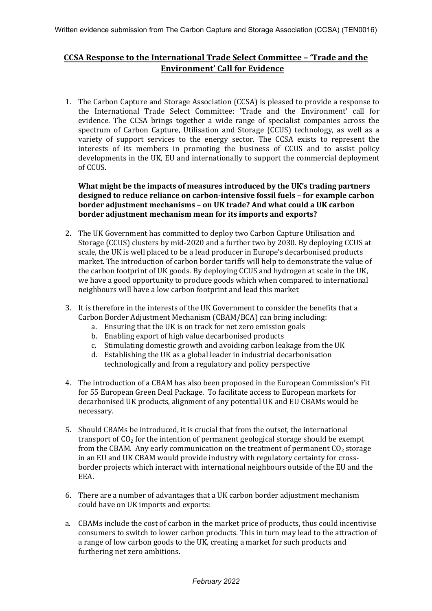# **CCSA Response to the International Trade Select Committee – 'Trade and the Environment' Call for Evidence**

1. The Carbon Capture and Storage Association (CCSA) is pleased to provide a response to the International Trade Select Committee: 'Trade and the Environment' call for evidence. The CCSA brings together a wide range of specialist companies across the spectrum of Carbon Capture, Utilisation and Storage (CCUS) technology, as well as a variety of support services to the energy sector. The CCSA exists to represent the interests of its members in promoting the business of CCUS and to assist policy developments in the UK, EU and internationally to support the commercial deployment of CCUS.

**What might be the impacts of measures introduced by the UK's trading partners designed to reduce reliance on carbon-intensive fossil fuels – for example carbon border adjustment mechanisms – on UK trade? And what could a UK carbon border adjustment mechanism mean for its imports and exports?**

- 2. The UK Government has committed to deploy two Carbon Capture Utilisation and Storage (CCUS) clusters by mid-2020 and a further two by 2030. By deploying CCUS at scale, the UK is well placed to be a lead producer in Europe's decarbonised products market. The introduction of carbon border tariffs will help to demonstrate the value of the carbon footprint of UK goods. By deploying CCUS and hydrogen at scale in the UK, we have a good opportunity to produce goods which when compared to international neighbours will have a low carbon footprint and lead this market
- 3. It is therefore in the interests of the UK Government to consider the benefits that a Carbon Border Adjustment Mechanism (CBAM/BCA) can bring including:
	- a. Ensuring that the UK is on track for net zero emission goals
	- b. Enabling export of high value decarbonised products
	- c. Stimulating domestic growth and avoiding carbon leakage from the UK
	- d. Establishing the UK as a global leader in industrial decarbonisation technologically and from a regulatory and policy perspective
- 4. The introduction of a CBAM has also been proposed in the European Commission's Fit for 55 European Green Deal Package. To facilitate access to European markets for decarbonised UK products, alignment of any potential UK and EU CBAMs would be necessary.
- 5. Should CBAMs be introduced, it is crucial that from the outset, the international transport of  $CO<sub>2</sub>$  for the intention of permanent geological storage should be exempt from the CBAM. Any early communication on the treatment of permanent  $CO<sub>2</sub>$  storage in an EU and UK CBAM would provide industry with regulatory certainty for crossborder projects which interact with international neighbours outside of the EU and the EEA.
- 6. There are a number of advantages that a UK carbon border adjustment mechanism could have on UK imports and exports:
- a. CBAMs include the cost of carbon in the market price of products, thus could incentivise consumers to switch to lower carbon products. This in turn may lead to the attraction of a range of low carbon goods to the UK, creating a market for such products and furthering net zero ambitions.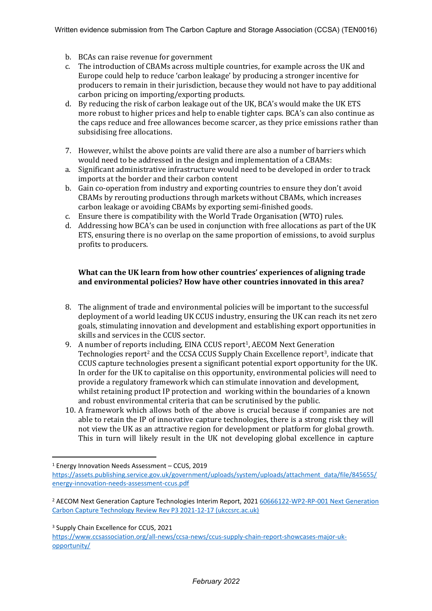- b. BCAs can raise revenue for government
- c. The introduction of CBAMs across multiple countries, for example across the UK and Europe could help to reduce 'carbon leakage' by producing a stronger incentive for producers to remain in their jurisdiction, because they would not have to pay additional carbon pricing on importing/exporting products.
- d. By reducing the risk of carbon leakage out of the UK, BCA's would make the UK ETS more robust to higher prices and help to enable tighter caps. BCA's can also continue as the caps reduce and free allowances become scarcer, as they price emissions rather than subsidising free allocations.
- 7. However, whilst the above points are valid there are also a number of barriers which would need to be addressed in the design and implementation of a CBAMs:
- a. Significant administrative infrastructure would need to be developed in order to track imports at the border and their carbon content
- b. Gain co-operation from industry and exporting countries to ensure they don't avoid CBAMs by rerouting productions through markets without CBAMs, which increases carbon leakage or avoiding CBAMs by exporting semi-finished goods.
- c. Ensure there is compatibility with the World Trade Organisation (WTO) rules.
- d. Addressing how BCA's can be used in conjunction with free allocations as part of the UK ETS, ensuring there is no overlap on the same proportion of emissions, to avoid surplus profits to producers.

### **What can the UK learn from how other countries' experiences of aligning trade and environmental policies? How have other countries innovated in this area?**

- 8. The alignment of trade and environmental policies will be important to the successful deployment of a world leading UK CCUS industry, ensuring the UK can reach its net zero goals, stimulating innovation and development and establishing export opportunities in skills and services in the CCUS sector.
- 9. A number of reports including, EINA CCUS report<sup>1</sup>, AECOM Next Generation Technologies report<sup>2</sup> and the CCSA CCUS Supply Chain Excellence report<sup>3</sup>, indicate that CCUS capture technologies present a significant potential export opportunity for the UK. In order for the UK to capitalise on this opportunity, environmental policies will need to provide a regulatory framework which can stimulate innovation and development, whilst retaining product IP protection and working within the boundaries of a known and robust environmental criteria that can be scrutinised by the public.
- 10. A framework which allows both of the above is crucial because if companies are not able to retain the IP of innovative capture technologies, there is a strong risk they will not view the UK as an attractive region for development or platform for global growth. This in turn will likely result in the UK not developing global excellence in capture

<sup>3</sup> Supply Chain Excellence for CCUS, 2021

[https://www.ccsassociation.org/all-news/ccsa-news/ccus-supply-chain-report-showcases-major-uk](https://www.ccsassociation.org/all-news/ccsa-news/ccus-supply-chain-report-showcases-major-uk-opportunity/)[opportunity/](https://www.ccsassociation.org/all-news/ccsa-news/ccus-supply-chain-report-showcases-major-uk-opportunity/)

<sup>1</sup> Energy Innovation Needs Assessment – CCUS, 2019

[https://assets.publishing.service.gov.uk/government/uploads/system/uploads/attachment\\_data/file/845655/](https://assets.publishing.service.gov.uk/government/uploads/system/uploads/attachment_data/file/845655/energy-innovation-needs-assessment-ccus.pdf) [energy-innovation-needs-assessment-ccus.pdf](https://assets.publishing.service.gov.uk/government/uploads/system/uploads/attachment_data/file/845655/energy-innovation-needs-assessment-ccus.pdf)

<sup>2</sup> AECOM Next Generation Capture Technologies Interim Report, 2021 [60666122-WP2-RP-001](https://ukccsrc.ac.uk/wp-content/uploads/2022/01/AECOM-WP2-RP-001-Next-Generation-Carbon-Capture-Technology-Review-Rev-P3-2021-12-17-INTERIM-ISSUE.pdf) [Next](https://ukccsrc.ac.uk/wp-content/uploads/2022/01/AECOM-WP2-RP-001-Next-Generation-Carbon-Capture-Technology-Review-Rev-P3-2021-12-17-INTERIM-ISSUE.pdf) [Generation](https://ukccsrc.ac.uk/wp-content/uploads/2022/01/AECOM-WP2-RP-001-Next-Generation-Carbon-Capture-Technology-Review-Rev-P3-2021-12-17-INTERIM-ISSUE.pdf) [Carbon](https://ukccsrc.ac.uk/wp-content/uploads/2022/01/AECOM-WP2-RP-001-Next-Generation-Carbon-Capture-Technology-Review-Rev-P3-2021-12-17-INTERIM-ISSUE.pdf) [Capture](https://ukccsrc.ac.uk/wp-content/uploads/2022/01/AECOM-WP2-RP-001-Next-Generation-Carbon-Capture-Technology-Review-Rev-P3-2021-12-17-INTERIM-ISSUE.pdf) [Technology](https://ukccsrc.ac.uk/wp-content/uploads/2022/01/AECOM-WP2-RP-001-Next-Generation-Carbon-Capture-Technology-Review-Rev-P3-2021-12-17-INTERIM-ISSUE.pdf) [Review](https://ukccsrc.ac.uk/wp-content/uploads/2022/01/AECOM-WP2-RP-001-Next-Generation-Carbon-Capture-Technology-Review-Rev-P3-2021-12-17-INTERIM-ISSUE.pdf) [Rev](https://ukccsrc.ac.uk/wp-content/uploads/2022/01/AECOM-WP2-RP-001-Next-Generation-Carbon-Capture-Technology-Review-Rev-P3-2021-12-17-INTERIM-ISSUE.pdf) [P3](https://ukccsrc.ac.uk/wp-content/uploads/2022/01/AECOM-WP2-RP-001-Next-Generation-Carbon-Capture-Technology-Review-Rev-P3-2021-12-17-INTERIM-ISSUE.pdf) [2021-12-17](https://ukccsrc.ac.uk/wp-content/uploads/2022/01/AECOM-WP2-RP-001-Next-Generation-Carbon-Capture-Technology-Review-Rev-P3-2021-12-17-INTERIM-ISSUE.pdf) [\(ukccsrc.ac.uk\)](https://ukccsrc.ac.uk/wp-content/uploads/2022/01/AECOM-WP2-RP-001-Next-Generation-Carbon-Capture-Technology-Review-Rev-P3-2021-12-17-INTERIM-ISSUE.pdf)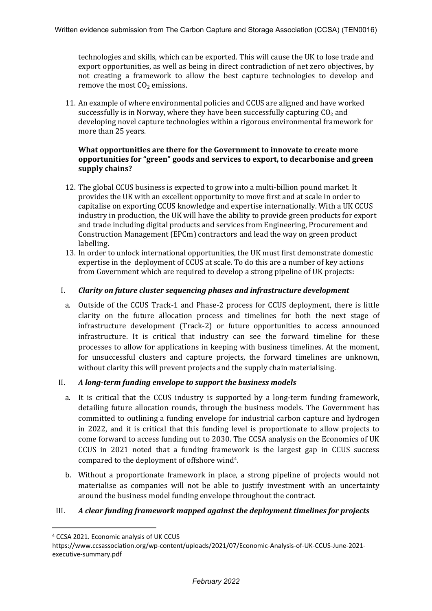technologies and skills, which can be exported. This will cause the UK to lose trade and export opportunities, as well as being in direct contradiction of net zero objectives, by not creating a framework to allow the best capture technologies to develop and remove the most  $CO<sub>2</sub>$  emissions.

11. An example of where environmental policies and CCUS are aligned and have worked successfully is in Norway, where they have been successfully capturing  $CO<sub>2</sub>$  and developing novel capture technologies within a rigorous environmental framework for more than 25 years.

### **What opportunities are there for the Government to innovate to create more opportunities for "green" goods and services to export, to decarbonise and green supply chains?**

- 12. The global CCUS business is expected to grow into a multi-billion pound market. It provides the UK with an excellent opportunity to move first and at scale in order to capitalise on exporting CCUS knowledge and expertise internationally. With a UK CCUS industry in production, the UK will have the ability to provide green products for export and trade including digital products and services from Engineering, Procurement and Construction Management (EPCm) contractors and lead the way on green product labelling.
- 13. In order to unlock international opportunities, the UK must first demonstrate domestic expertise in the deployment of CCUS at scale. To do this are a number of key actions from Government which are required to develop a strong pipeline of UK projects:

#### I. *Clarity on future cluster sequencing phases and infrastructure development*

a. Outside of the CCUS Track-1 and Phase-2 process for CCUS deployment, there is little clarity on the future allocation process and timelines for both the next stage of infrastructure development (Track-2) or future opportunities to access announced infrastructure. It is critical that industry can see the forward timeline for these processes to allow for applications in keeping with business timelines. At the moment, for unsuccessful clusters and capture projects, the forward timelines are unknown, without clarity this will prevent projects and the supply chain materialising.

#### II. *A long-term funding envelope to support the business models*

- a. It is critical that the CCUS industry is supported by a long-term funding framework, detailing future allocation rounds, through the business models. The Government has committed to outlining a funding envelope for industrial carbon capture and hydrogen in 2022, and it is critical that this funding level is proportionate to allow projects to come forward to access funding out to 2030. The CCSA analysis on the Economics of UK CCUS in 2021 noted that a funding framework is the largest gap in CCUS success compared to the deployment of offshore wind<sup>4</sup>.
- b. Without a proportionate framework in place, a strong pipeline of projects would not materialise as companies will not be able to justify investment with an uncertainty around the business model funding envelope throughout the contract.

## III. *A clear funding framework mapped against the deployment timelines for projects*

<sup>4</sup> CCSA 2021. Economic analysis of UK CCUS

https://www.ccsassociation.org/wp-content/uploads/2021/07/Economic-Analysis-of-UK-CCUS-June-2021 executive-summary.pdf